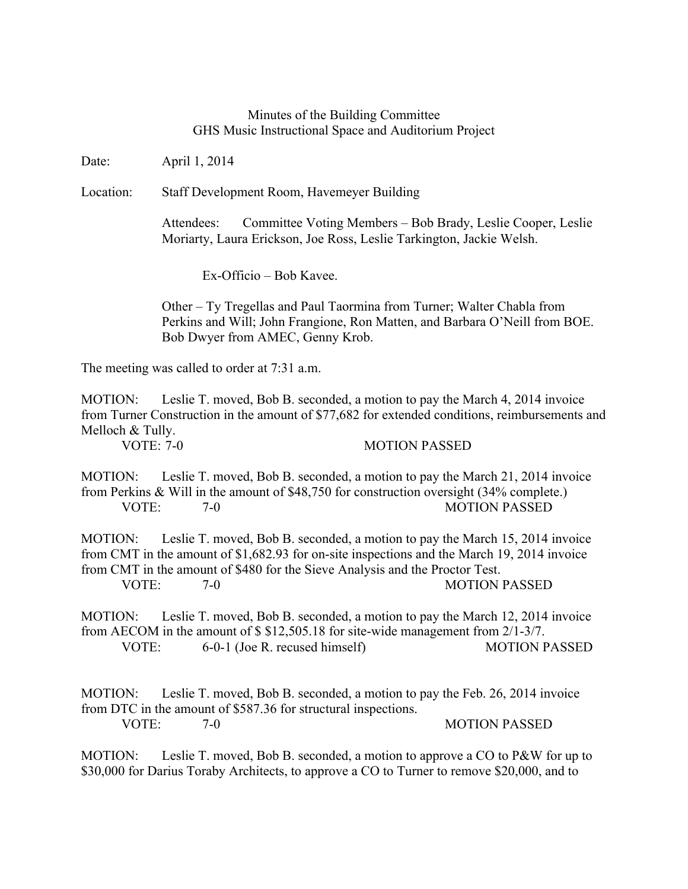## Minutes of the Building Committee GHS Music Instructional Space and Auditorium Project

Date: April 1, 2014

Location: Staff Development Room, Havemeyer Building

Attendees: Committee Voting Members – Bob Brady, Leslie Cooper, Leslie Moriarty, Laura Erickson, Joe Ross, Leslie Tarkington, Jackie Welsh.

Ex-Officio – Bob Kavee.

Other – Ty Tregellas and Paul Taormina from Turner; Walter Chabla from Perkins and Will; John Frangione, Ron Matten, and Barbara O'Neill from BOE. Bob Dwyer from AMEC, Genny Krob.

The meeting was called to order at 7:31 a.m.

MOTION: Leslie T. moved, Bob B. seconded, a motion to pay the March 4, 2014 invoice from Turner Construction in the amount of \$77,682 for extended conditions, reimbursements and Melloch & Tully.

VOTE: 7-0 MOTION PASSED

MOTION: Leslie T. moved, Bob B. seconded, a motion to pay the March 21, 2014 invoice from Perkins & Will in the amount of \$48,750 for construction oversight (34% complete.) VOTE: 7-0 MOTION PASSED

MOTION: Leslie T. moved, Bob B. seconded, a motion to pay the March 15, 2014 invoice from CMT in the amount of \$1,682.93 for on-site inspections and the March 19, 2014 invoice from CMT in the amount of \$480 for the Sieve Analysis and the Proctor Test. VOTE: 7-0 MOTION PASSED

MOTION: Leslie T. moved, Bob B. seconded, a motion to pay the March 12, 2014 invoice from AECOM in the amount of \$ \$12,505.18 for site-wide management from 2/1-3/7. VOTE: 6-0-1 (Joe R. recused himself) MOTION PASSED

MOTION: Leslie T. moved, Bob B. seconded, a motion to pay the Feb. 26, 2014 invoice from DTC in the amount of \$587.36 for structural inspections. VOTE: 7-0 MOTION PASSED

MOTION: Leslie T. moved, Bob B. seconded, a motion to approve a CO to P&W for up to \$30,000 for Darius Toraby Architects, to approve a CO to Turner to remove \$20,000, and to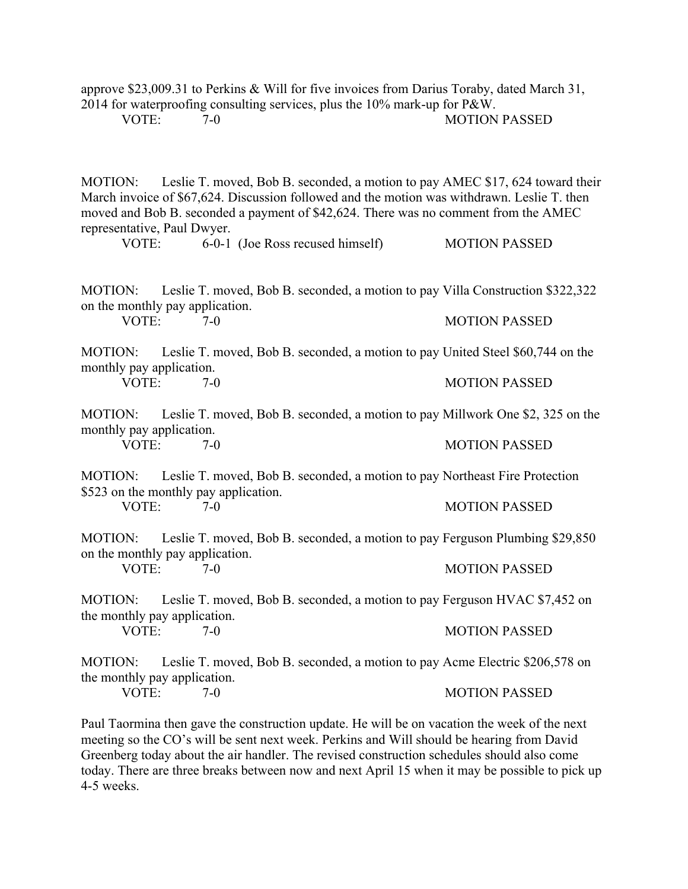approve \$23,009.31 to Perkins & Will for five invoices from Darius Toraby, dated March 31, 2014 for waterproofing consulting services, plus the 10% mark-up for P&W.

VOTE: 7-0 7-0 MOTION PASSED

MOTION: Leslie T. moved, Bob B. seconded, a motion to pay AMEC \$17, 624 toward their March invoice of \$67,624. Discussion followed and the motion was withdrawn. Leslie T. then moved and Bob B. seconded a payment of \$42,624. There was no comment from the AMEC representative, Paul Dwyer.

VOTE: 6-0-1 (Joe Ross recused himself) MOTION PASSED

MOTION: Leslie T. moved, Bob B. seconded, a motion to pay Villa Construction \$322,322 on the monthly pay application. VOTE: 7-0 7-0 MOTION PASSED

MOTION: Leslie T. moved, Bob B. seconded, a motion to pay United Steel \$60,744 on the monthly pay application. VOTE: 7-0 MOTION PASSED

MOTION: Leslie T. moved, Bob B. seconded, a motion to pay Millwork One \$2, 325 on the monthly pay application.

VOTE: 7-0 7-0 MOTION PASSED

MOTION: Leslie T. moved, Bob B. seconded, a motion to pay Northeast Fire Protection \$523 on the monthly pay application.

VOTE: 7-0 MOTION PASSED

MOTION: Leslie T. moved, Bob B. seconded, a motion to pay Ferguson Plumbing \$29,850 on the monthly pay application. VOTE: 7-0 7-0 MOTION PASSED

MOTION: Leslie T. moved, Bob B. seconded, a motion to pay Ferguson HVAC \$7,452 on the monthly pay application.<br>VOTE: 7-0 7-0 MOTION PASSED

MOTION: Leslie T. moved, Bob B. seconded, a motion to pay Acme Electric \$206,578 on the monthly pay application.

VOTE: 7-0 7-0 MOTION PASSED

Paul Taormina then gave the construction update. He will be on vacation the week of the next meeting so the CO's will be sent next week. Perkins and Will should be hearing from David Greenberg today about the air handler. The revised construction schedules should also come today. There are three breaks between now and next April 15 when it may be possible to pick up 4-5 weeks.